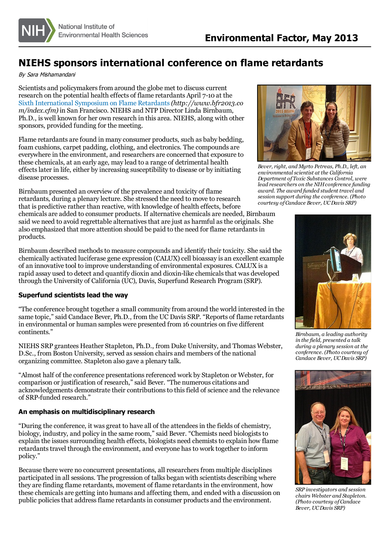## **NIEHS sponsors international conference on flame retardants**

By Sara Mishamandani

Scientists and policymakers from around the globe met to discuss current research on the potential health effects of flame retardants April 7-10 at the Sixth [International](http://www.bfr2013.com/index.cfm) Symposium on Flame Retardants*(http://www.bfr2013.co m/index.cfm)* in San Francisco. NIEHS and NTP Director Linda Birnbaum, Ph.D., is well known for her own research in this area. NIEHS, along with other sponsors, provided funding for the meeting.

Flame retardants are found in many consumer products, such as baby bedding, foam cushions, carpet padding, clothing, and electronics. The compounds are everywhere in the environment, and researchers are concerned that exposure to these chemicals, at an early age, may lead to a range of detrimental health effectslater in life, either by increasing susceptibility to disease or by initiating disease processes.

Birnbaum presented an overview of the prevalence and toxicity of flame retardants, during a plenary lecture. She stressed the need to move to research that is predictive rather than reactive, with knowledge of health effects, before

chemicals are added to consumer products. If alternative chemicals are needed, Birnbaum said we need to avoid regrettable alternatives that are just as harmful as the originals. She also emphasized that more attention should be paid to the need for flame retardantsin products.

Birnbaum described methods to measure compounds and identify their toxicity. She said the chemically activated luciferase gene expression (CALUX) cell bioassay is an excellent example of an innovative tool to improve understanding of environmental exposures. CALUX is a rapid assay used to detect and quantify dioxin and dioxin-like chemicalsthat was developed through the University of California (UC), Davis, Superfund Research Program (SRP).

## **Superfund scientists lead the way**

"The conference brought together a small community from around the world interested in the same topic," said Candace Bever, Ph.D., from the UC Davis SRP. "Reports of flame retardants in environmental or human samples were presented from 16 countries on five different continents."

NIEHS SRP grantees Heather Stapleton, Ph.D., from Duke University, and Thomas Webster, D.Sc., from Boston University, served assession chairs and members of the national organizing committee. Stapleton also gave a plenary talk.

"Almost half of the conference presentations referenced work by Stapleton or Webster, for comparison or justification of research," said Bever. "The numerous citations and acknowledgements demonstrate their contributions to this field of science and the relevance of SRP-funded research."

## **An emphasis on multidisciplinary research**

"During the conference, it was great to have all of the attendeesin the fields of chemistry, biology, industry, and policy in the same room," said Bever. "Chemists need biologists to explain the issues surrounding health effects, biologists need chemists to explain how flame retardants travel through the environment, and everyone has to work together to inform policy."

Because there were no concurrent presentations, all researchersfrom multiple disciplines participated in all sessions. The progression of talks began with scientists describing where they are finding flame retardants, movement of flame retardantsin the environment, how these chemicals are getting into humans and affecting them, and ended with a discussion on public policiesthat addressflame retardantsin consumer products and the environment.



*Bever, right, and Myrto Petreas, Ph.D., left, an environmental scientist at the California Department of Toxic Substances Control, were lead researchers on the NIHconference funding award. The award funded student travel and session support during the conference. (Photo courtesy of Candace Bever, UCDavis SRP)*



*Birnbaum, a leading authority in the field, presented a talk during a plenary session at the conference. (Photo courtesy of Candace Bever, UCDavis SRP)*



*SRP investigators and session chairs Webster and Stapleton. (Photo courtesy of Candace Bever, UCDavis SRP)*